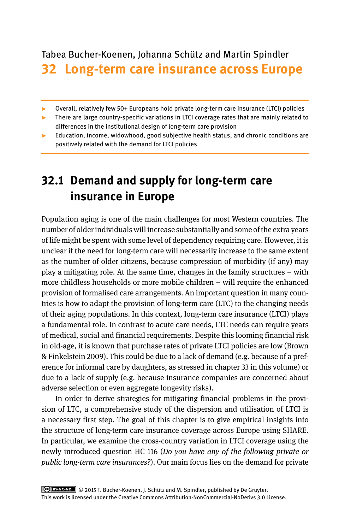## Tabea Bucher-Koenen, Johanna Schütz and Martin Spindler **32 Long-term care insurance across Europe**

- ▸ Overall, relatively few 50+ Europeans hold private long-term care insurance (LTCI) policies
- There are large country-specific variations in LTCI coverage rates that are mainly related to differences in the institutional design of long-term care provision
- ▸ Education, income, widowhood, good subjective health status, and chronic conditions are positively related with the demand for LTCI policies

# **32.1 Demand and supply for long-term care insurance in Europe**

Population aging is one of the main challenges for most Western countries. The number of older individuals will increase substantially and some of the extra years of life might be spent with some level of dependency requiring care. However, it is unclear if the need for long-term care will necessarily increase to the same extent as the number of older citizens, because compression of morbidity (if any) may play a mitigating role. At the same time, changes in the family structures – with more childless households or more mobile children – will require the enhanced provision of formalised care arrangements. An important question in many countries is how to adapt the provision of long-term care (LTC) to the changing needs of their aging populations. In this context, long-term care insurance (LTCI) plays a fundamental role. In contrast to acute care needs, LTC needs can require years of medical, social and financial requirements. Despite this looming financial risk in old-age, it is known that purchase rates of private LTCI policies are low (Brown & Finkelstein 2009). This could be due to a lack of demand (e.g. because of a preference for informal care by daughters, as stressed in chapter 33 in this volume) or due to a lack of supply (e.g. because insurance companies are concerned about adverse selection or even aggregate longevity risks).

In order to derive strategies for mitigating financial problems in the provision of LTC, a comprehensive study of the dispersion and utilisation of LTCI is a necessary first step. The goal of this chapter is to give empirical insights into the structure of long-term care insurance coverage across Europe using SHARE. In particular, we examine the cross-country variation in LTCI coverage using the newly introduced question HC 116 (*Do you have any of the following private or public long-term care insurances?*). Our main focus lies on the demand for private

 © 2015 T. Bucher-Koenen, J. Schütz and M. Spindler, published by De Gruyter. This work is licensed under the Creative Commons Attribution-NonCommercial-NoDerivs 3.0 License.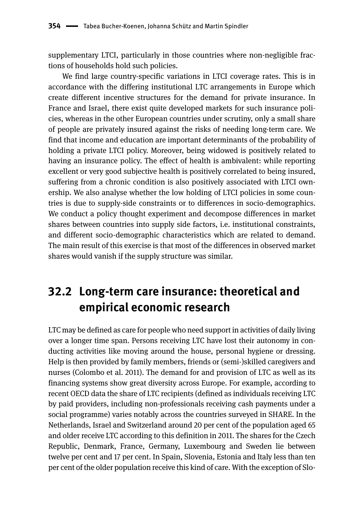supplementary LTCI, particularly in those countries where non-negligible fractions of households hold such policies.

We find large country-specific variations in LTCI coverage rates. This is in accordance with the differing institutional LTC arrangements in Europe which create different incentive structures for the demand for private insurance. In France and Israel, there exist quite developed markets for such insurance policies, whereas in the other European countries under scrutiny, only a small share of people are privately insured against the risks of needing long-term care. We find that income and education are important determinants of the probability of holding a private LTCI policy. Moreover, being widowed is positively related to having an insurance policy. The effect of health is ambivalent: while reporting excellent or very good subjective health is positively correlated to being insured, suffering from a chronic condition is also positively associated with LTCI ownership. We also analyse whether the low holding of LTCI policies in some countries is due to supply-side constraints or to differences in socio-demographics. We conduct a policy thought experiment and decompose differences in market shares between countries into supply side factors, i.e. institutional constraints, and different socio-demographic characteristics which are related to demand. The main result of this exercise is that most of the differences in observed market shares would vanish if the supply structure was similar.

## **32.2 Long-term care insurance: theoretical and empirical economic research**

LTC may be defined as care for people who need support in activities of daily living over a longer time span. Persons receiving LTC have lost their autonomy in conducting activities like moving around the house, personal hygiene or dressing. Help is then provided by family members, friends or (semi-)skilled caregivers and nurses (Colombo et al. 2011). The demand for and provision of LTC as well as its financing systems show great diversity across Europe. For example, according to recent OECD data the share of LTC recipients (defined as individuals receiving LTC by paid providers, including non-professionals receiving cash payments under a social programme) varies notably across the countries surveyed in SHARE. In the Netherlands, Israel and Switzerland around 20 per cent of the population aged 65 and older receive LTC according to this definition in 2011. The shares for the Czech Republic, Denmark, France, Germany, Luxembourg and Sweden lie between twelve per cent and 17 per cent. In Spain, Slovenia, Estonia and Italy less than ten per cent of the older population receive this kind of care. With the exception of Slo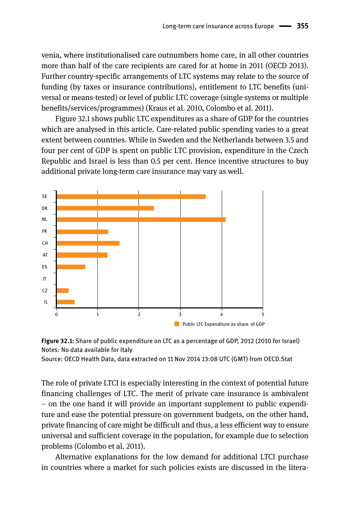venia, where institutionalised care outnumbers home care, in all other countries more than half of the care recipients are cared for at home in 2011 (OECD 2013). Further country-specific arrangements of LTC systems may relate to the source of funding (by taxes or insurance contributions), entitlement to LTC benefits (universal or means-tested) or level of public LTC coverage (single systems or multiple benefits/services/programmes) (Kraus et al. 2010, Colombo et al. 2011).

Figure 32.1 shows public LTC expenditures as a share of GDP for the countries which are analysed in this article. Care-related public spending varies to a great extent between countries. While in Sweden and the Netherlands between 3.5 and four per cent of GDP is spent on public LTC provision, expenditure in the Czech Republic and Israel is less than 0.5 per cent. Hence incentive structures to buy additional private long-term care insurance may vary as well.





Source: OECD Health Data, data extracted on 11 Nov 2014 13:08 UTC (GMT) from OECD.Stat

The role of private LTCI is especially interesting in the context of potential future financing challenges of LTC. The merit of private care insurance is ambivalent – on the one hand it will provide an important supplement to public expenditure and ease the potential pressure on government budgets, on the other hand, private financing of care might be difficult and thus, a less efficient way to ensure universal and sufficient coverage in the population, for example due to selection problems (Colombo et al. 2011).

Alternative explanations for the low demand for additional LTCI purchase in countries where a market for such policies exists are discussed in the litera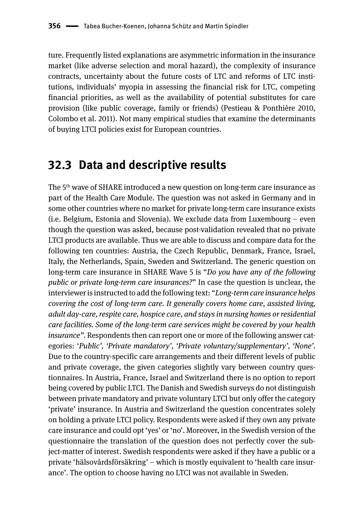ture. Frequently listed explanations are asymmetric information in the insurance market (like adverse selection and moral hazard), the complexity of insurance contracts, uncertainty about the future costs of LTC and reforms of LTC institutions, individuals' myopia in assessing the financial risk for LTC, competing financial priorities, as well as the availability of potential substitutes for care provision (like public coverage, family or friends) (Pestieau & Ponthière 2010, Colombo et al. 2011). Not many empirical studies that examine the determinants of buying LTCI policies exist for European countries.

### **32.3 Data and descriptive results**

The  $5<sup>th</sup>$  wave of SHARE introduced a new question on long-term care insurance as part of the Health Care Module. The question was not asked in Germany and in some other countries where no market for private long-term care insurance exists (i.e. Belgium, Estonia and Slovenia). We exclude data from Luxembourg – even though the question was asked, because post-validation revealed that no private LTCI products are available. Thus we are able to discuss and compare data for the following ten countries: Austria, the Czech Republic, Denmark, France, Israel, Italy, the Netherlands, Spain, Sweden and Switzerland. The generic question on long-term care insurance in SHARE Wave 5 is "*Do you have any of the following public or private long-term care insurances?*" In case the question is unclear, the interviewer is instructed to add the following text: "*Long-term care insurance helps covering the cost of long-term care. It generally covers home care, assisted living, adult day-care, respite care, hospice care, and stays in nursing homes or residential care facilities. Some of the long-term care services might be covered by your health insurance".* Respondents then can report one or more of the following answer categories: '*Public', 'Private mandatory', 'Private voluntary/supplementary', 'None'.* Due to the country-specific care arrangements and their different levels of public and private coverage, the given categories slightly vary between country questionnaires. In Austria, France, Israel and Switzerland there is no option to report being covered by public LTCI. The Danish and Swedish surveys do not distinguish between private mandatory and private voluntary LTCI but only offer the category 'private' insurance. In Austria and Switzerland the question concentrates solely on holding a private LTCI policy. Respondents were asked if they own any private care insurance and could opt 'yes' or 'no'. Moreover, in the Swedish version of the questionnaire the translation of the question does not perfectly cover the subject-matter of interest. Swedish respondents were asked if they have a public or a private 'hälsovårdsförsäkring' – which is mostly equivalent to 'health care insurance'. The option to choose having no LTCI was not available in Sweden.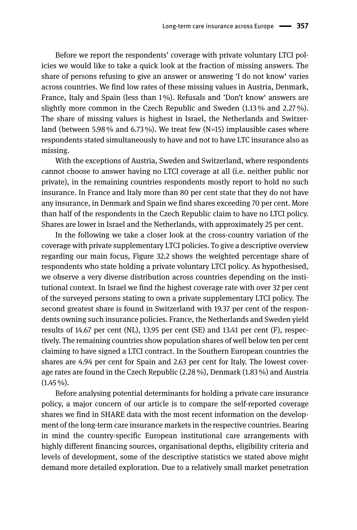Before we report the respondents' coverage with private voluntary LTCI policies we would like to take a quick look at the fraction of missing answers. The share of persons refusing to give an answer or answering 'I do not know' varies across countries. We find low rates of these missing values in Austria, Denmark, France, Italy and Spain (less than 1 %). Refusals and 'Don't know' answers are slightly more common in the Czech Republic and Sweden (1.13 % and 2.27 %). The share of missing values is highest in Israel, the Netherlands and Switzerland (between 5.98 % and 6.73 %). We treat few (N=15) implausible cases where respondents stated simultaneously to have and not to have LTC insurance also as missing.

With the exceptions of Austria, Sweden and Switzerland, where respondents cannot choose to answer having no LTCI coverage at all (i.e. neither public nor private), in the remaining countries respondents mostly report to hold no such insurance. In France and Italy more than 80 per cent state that they do not have any insurance, in Denmark and Spain we find shares exceeding 70 per cent. More than half of the respondents in the Czech Republic claim to have no LTCI policy. Shares are lower in Israel and the Netherlands, with approximately 25 per cent.

In the following we take a closer look at the cross-country variation of the coverage with private supplementary LTCI policies. To give a descriptive overview regarding our main focus, Figure 32.2 shows the weighted percentage share of respondents who state holding a private voluntary LTCI policy. As hypothesised, we observe a very diverse distribution across countries depending on the institutional context. In Israel we find the highest coverage rate with over 32 per cent of the surveyed persons stating to own a private supplementary LTCI policy. The second greatest share is found in Switzerland with 19.37 per cent of the respondents owning such insurance policies. France, the Netherlands and Sweden yield results of 14.67 per cent (NL), 13.95 per cent (SE) and 13.41 per cent (F), respectively. The remaining countries show population shares of well below ten per cent claiming to have signed a LTCI contract. In the Southern European countries the shares are 4.94 per cent for Spain and 2.63 per cent for Italy. The lowest coverage rates are found in the Czech Republic (2.28 %), Denmark (1.83 %) and Austria  $(1.45\%)$ .

Before analysing potential determinants for holding a private care insurance policy, a major concern of our article is to compare the self-reported coverage shares we find in SHARE data with the most recent information on the development of the long-term care insurance markets in the respective countries. Bearing in mind the country-specific European institutional care arrangements with highly different financing sources, organisational depths, eligibility criteria and levels of development, some of the descriptive statistics we stated above might demand more detailed exploration. Due to a relatively small market penetration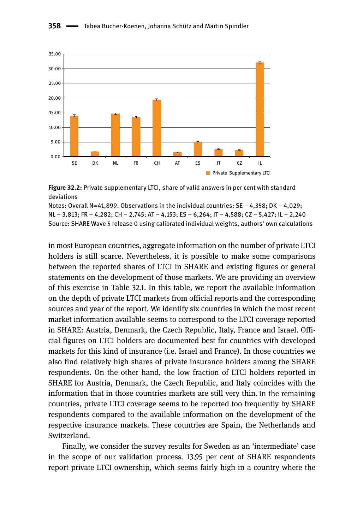

**Figure 32.2:** Private supplementary LTCI, share of valid answers in per cent with standard deviations

Notes: Overall N=41,899. Observations in the individual countries:  $SE - 4.358$ ;  $DK - 4.029$ ; NL – 3,813; FR – 4,282; CH – 2,745; AT – 4,153; ES – 6,264; IT – 4,588; CZ – 5,427; IL – 2,240 Source: SHARE Wave 5 release 0 using calibrated individual weights, authors' own calculations

in most European countries, aggregate information on the number of private LTCI holders is still scarce. Nevertheless, it is possible to make some comparisons between the reported shares of LTCI in SHARE and existing figures or general statements on the development of those markets. We are providing an overview of this exercise in Table 32.1. In this table, we report the available information on the depth of private LTCI markets from official reports and the corresponding sources and year of the report. We identify six countries in which the most recent market information available seems to correspond to the LTCI coverage reported in SHARE: Austria, Denmark, the Czech Republic, Italy, France and Israel. Official figures on LTCI holders are documented best for countries with developed markets for this kind of insurance (i.e. Israel and France). In those countries we also find relatively high shares of private insurance holders among the SHARE respondents. On the other hand, the low fraction of LTCI holders reported in SHARE for Austria, Denmark, the Czech Republic, and Italy coincides with the information that in those countries markets are still very thin. In the remaining countries, private LTCI coverage seems to be reported too frequently by SHARE respondents compared to the available information on the development of the respective insurance markets. These countries are Spain, the Netherlands and Switzerland.

Finally, we consider the survey results for Sweden as an 'intermediate' case in the scope of our validation process. 13.95 per cent of SHARE respondents report private LTCI ownership, which seems fairly high in a country where the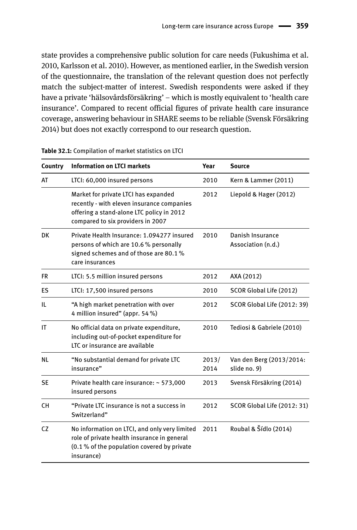state provides a comprehensive public solution for care needs (Fukushima et al. 2010, Karlsson et al. 2010). However, as mentioned earlier, in the Swedish version of the questionnaire, the translation of the relevant question does not perfectly match the subject-matter of interest. Swedish respondents were asked if they have a private 'hälsovårdsförsäkring' – which is mostly equivalent to 'health care insurance'. Compared to recent official figures of private health care insurance coverage, answering behaviour in SHARE seems to be reliable (Svensk Försäkring 2014) but does not exactly correspond to our research question.

| Country   | <b>Information on LTCI markets</b>                                                                                                                                   | Year          | <b>Source</b>                            |
|-----------|----------------------------------------------------------------------------------------------------------------------------------------------------------------------|---------------|------------------------------------------|
| AT        | LTCI: 60,000 insured persons                                                                                                                                         | 2010          | Kern & Lammer (2011)                     |
|           | Market for private LTCI has expanded<br>recently - with eleven insurance companies<br>offering a stand-alone LTC policy in 2012<br>compared to six providers in 2007 | 2012          | Liepold & Hager (2012)                   |
| DК        | Private Health Insurance: 1.094277 insured<br>persons of which are 10.6% personally<br>signed schemes and of those are 80.1%<br>care insurances                      | 2010          | Danish Insurance<br>Association (n.d.)   |
| FR        | LTCI: 5.5 million insured persons                                                                                                                                    | 2012          | AXA (2012)                               |
| ES        | LTCI: 17,500 insured persons                                                                                                                                         | 2010          | SCOR Global Life (2012)                  |
| IL        | "A high market penetration with over<br>4 million insured" (appr. 54%)                                                                                               | 2012          | <b>SCOR Global Life (2012: 39)</b>       |
| IT        | No official data on private expenditure,<br>including out-of-pocket expenditure for<br>LTC or insurance are available                                                | 2010          | Tediosi & Gabriele (2010)                |
| ΝL        | "No substantial demand for private LTC<br>insurance"                                                                                                                 | 2013/<br>2014 | Van den Berg (2013/2014:<br>slide no. 9) |
| <b>SE</b> | Private health care insurance: ~ 573,000<br>insured persons                                                                                                          | 2013          | Svensk Försäkring (2014)                 |
| CH        | "Private LTC insurance is not a success in<br>Switzerland"                                                                                                           | 2012          | SCOR Global Life (2012: 31)              |
| <b>CZ</b> | No information on LTCI, and only very limited<br>role of private health insurance in general<br>(0.1% of the population covered by private<br>insurance)             | 2011          | Roubal & Šídlo (2014)                    |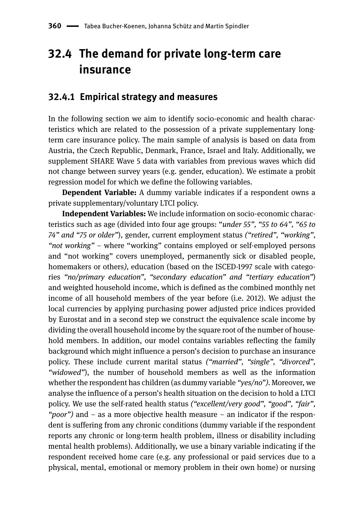## **32.4 The demand for private long-term care insurance**

#### **32.4.1 Empirical strategy and measures**

In the following section we aim to identify socio-economic and health characteristics which are related to the possession of a private supplementary longterm care insurance policy. The main sample of analysis is based on data from Austria, the Czech Republic, Denmark, France, Israel and Italy. Additionally, we supplement SHARE Wave 5 data with variables from previous waves which did not change between survey years (e.g. gender, education). We estimate a probit regression model for which we define the following variables.

**Dependent Variable:** A dummy variable indicates if a respondent owns a private supplementary/voluntary LTCI policy.

**Independent Variables:** We include information on socio-economic characteristics such as age (divided into four age groups: "*under 55", "55 to 64", "65 to 74" and "75 or older"*), gender, current employment status *("retired", "working", "not working" –* where "working" contains employed or self-employed persons and "not working" covers unemployed, permanently sick or disabled people, homemakers or others*),* education (based on the ISCED-1997 scale with categories *"no/primary education", "secondary education" and "tertiary education"*) and weighted household income, which is defined as the combined monthly net income of all household members of the year before (i.e. 2012). We adjust the local currencies by applying purchasing power adjusted price indices provided by Eurostat and in a second step we construct the equivalence scale income by dividing the overall household income by the square root of the number of household members. In addition, our model contains variables reflecting the family background which might influence a person's decision to purchase an insurance policy. These include current marital status *("married", "single", "divorced", "widowed"*), the number of household members as well as the information whether the respondent has children (as dummy variable *"yes/no").* Moreover, we analyse the influence of a person's health situation on the decision to hold a LTCI policy. We use the self-rated health status *("excellent/very good", "good", "fair", "poor")* and – as a more objective health measure – an indicator if the respondent is suffering from any chronic conditions (dummy variable if the respondent reports any chronic or long-term health problem, illness or disability including mental health problems). Additionally, we use a binary variable indicating if the respondent received home care (e.g. any professional or paid services due to a physical, mental, emotional or memory problem in their own home) or nursing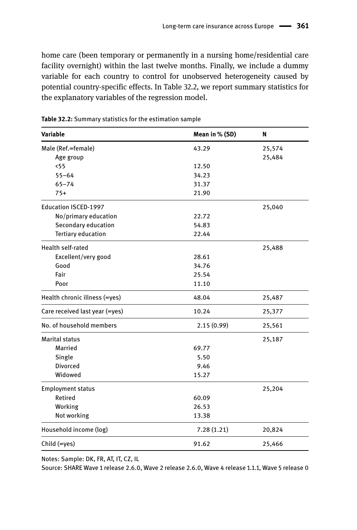home care (been temporary or permanently in a nursing home/residential care facility overnight) within the last twelve months. Finally, we include a dummy variable for each country to control for unobserved heterogeneity caused by potential country-specific effects. In Table 32.2, we report summary statistics for the explanatory variables of the regression model.

| <b>Variable</b>                | Mean in % (SD) | N      |
|--------------------------------|----------------|--------|
| Male (Ref.=female)             | 43.29          | 25,574 |
| Age group                      |                | 25,484 |
| < 55                           | 12.50          |        |
| $55 - 64$                      | 34.23          |        |
| $65 - 74$                      | 31.37          |        |
| $75+$                          | 21.90          |        |
| <b>Education ISCED-1997</b>    |                | 25,040 |
| No/primary education           | 22.72          |        |
| Secondary education            | 54.83          |        |
| <b>Tertiary education</b>      | 22.44          |        |
| Health self-rated              |                | 25,488 |
| Excellent/very good            | 28.61          |        |
| Good                           | 34.76          |        |
| Fair                           | 25.54          |        |
| Poor                           | 11.10          |        |
| Health chronic illness (=yes)  | 48.04          | 25,487 |
| Care received last year (=yes) | 10.24          | 25,377 |
| No. of household members       | 2.15(0.99)     | 25,561 |
| <b>Marital status</b>          |                | 25,187 |
| Married                        | 69.77          |        |
| Single                         | 5.50           |        |
| <b>Divorced</b>                | 9.46           |        |
| Widowed                        | 15.27          |        |
| <b>Employment status</b>       |                | 25,204 |
| Retired                        | 60.09          |        |
| Working                        | 26.53          |        |
| Not working                    | 13.38          |        |
| Household income (log)         | 7.28(1.21)     | 20,824 |
| Child (=yes)                   | 91.62          | 25,466 |

**Table 32.2:** Summary statistics for the estimation sample

Notes: Sample: DK, FR, AT, IT, CZ, IL

Source: SHARE Wave 1 release 2.6.0, Wave 2 release 2.6.0, Wave 4 release 1.1.1, Wave 5 release 0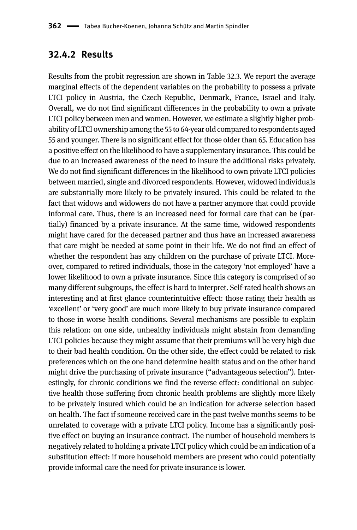#### **32.4.2 Results**

Results from the probit regression are shown in Table 32.3. We report the average marginal effects of the dependent variables on the probability to possess a private LTCI policy in Austria, the Czech Republic, Denmark, France, Israel and Italy. Overall, we do not find significant differences in the probability to own a private LTCI policy between men and women. However, we estimate a slightly higher probability of LTCI ownership among the 55 to 64-year old compared to respondents aged 55 and younger. There is no significant effect for those older than 65. Education has a positive effect on the likelihood to have a supplementary insurance. This could be due to an increased awareness of the need to insure the additional risks privately. We do not find significant differences in the likelihood to own private LTCI policies between married, single and divorced respondents. However, widowed individuals are substantially more likely to be privately insured. This could be related to the fact that widows and widowers do not have a partner anymore that could provide informal care. Thus, there is an increased need for formal care that can be (partially) financed by a private insurance. At the same time, widowed respondents might have cared for the deceased partner and thus have an increased awareness that care might be needed at some point in their life. We do not find an effect of whether the respondent has any children on the purchase of private LTCI. Moreover, compared to retired individuals, those in the category 'not employed' have a lower likelihood to own a private insurance. Since this category is comprised of so many different subgroups, the effect is hard to interpret. Self-rated health shows an interesting and at first glance counterintuitive effect: those rating their health as 'excellent' or 'very good' are much more likely to buy private insurance compared to those in worse health conditions. Several mechanisms are possible to explain this relation: on one side, unhealthy individuals might abstain from demanding LTCI policies because they might assume that their premiums will be very high due to their bad health condition. On the other side, the effect could be related to risk preferences which on the one hand determine health status and on the other hand might drive the purchasing of private insurance ("advantageous selection"). Interestingly, for chronic conditions we find the reverse effect: conditional on subjective health those suffering from chronic health problems are slightly more likely to be privately insured which could be an indication for adverse selection based on health. The fact if someone received care in the past twelve months seems to be unrelated to coverage with a private LTCI policy. Income has a significantly positive effect on buying an insurance contract. The number of household members is negatively related to holding a private LTCI policy which could be an indication of a substitution effect: if more household members are present who could potentially provide informal care the need for private insurance is lower.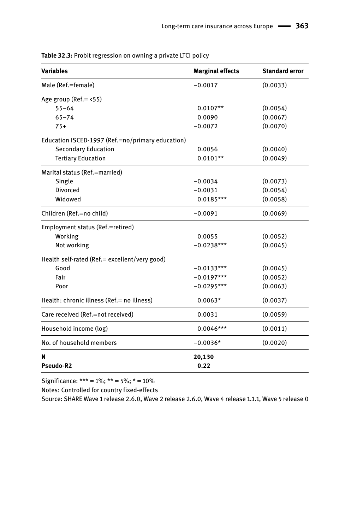| <b>Variables</b>                                 | <b>Marginal effects</b> | <b>Standard error</b> |  |
|--------------------------------------------------|-------------------------|-----------------------|--|
| Male (Ref.=female)                               | $-0.0017$               | (0.0033)              |  |
| Age group ( $Ref = <55$ )                        |                         |                       |  |
| $55 - 64$                                        | $0.0107**$              | (0.0054)              |  |
| $65 - 74$                                        | 0.0090                  | (0.0067)              |  |
| $75+$                                            | $-0.0072$               | (0.0070)              |  |
| Education ISCED-1997 (Ref.=no/primary education) |                         |                       |  |
| <b>Secondary Education</b>                       | 0.0056                  | (0.0040)              |  |
| <b>Tertiary Education</b>                        | $0.0101**$              | (0.0049)              |  |
| Marital status (Ref.=married)                    |                         |                       |  |
| Single                                           | $-0.0034$               | (0.0073)              |  |
| <b>Divorced</b>                                  | $-0.0031$               | (0.0054)              |  |
| Widowed                                          | $0.0185***$             | (0.0058)              |  |
| Children (Ref.=no child)                         | $-0.0091$               | (0.0069)              |  |
| Employment status (Ref.=retired)                 |                         |                       |  |
| Working                                          | 0.0055                  | (0.0052)              |  |
| Not working                                      | $-0.0238***$            | (0.0045)              |  |
| Health self-rated (Ref. = excellent/very good)   |                         |                       |  |
| Good                                             | $-0.0133***$            | (0.0045)              |  |
| Fair                                             | $-0.0197***$            | (0.0052)              |  |
| Poor                                             | $-0.0295***$            | (0.0063)              |  |
| Health: chronic illness (Ref.= no illness)       | $0.0063*$               | (0.0037)              |  |
| Care received (Ref.=not received)                | 0.0031                  | (0.0059)              |  |
| Household income (log)                           | $0.0046***$             | (0.0011)              |  |
| No. of household members                         | $-0.0036*$              | (0.0020)              |  |
| N                                                | 20,130                  |                       |  |
| Pseudo-R2                                        | 0.22                    |                       |  |

**Table 32.3:** Probit regression on owning a private LTCI policy

Significance: \*\*\* =  $1\%$ ; \*\* =  $5\%$ ; \* =  $10\%$ 

Notes: Controlled for country fixed-effects

Source: SHARE Wave 1 release 2.6.0, Wave 2 release 2.6.0, Wave 4 release 1.1.1, Wave 5 release 0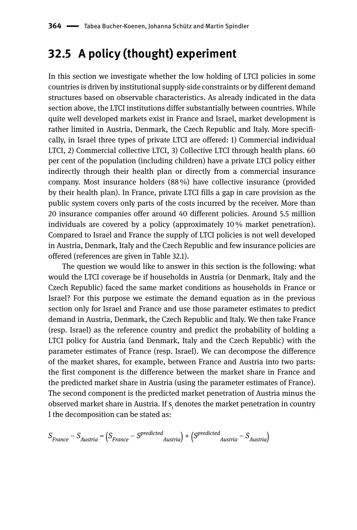## **32.5 A policy (thought) experiment**

In this section we investigate whether the low holding of LTCI policies in some countries is driven by institutional supply-side constraints or by different demand structures based on observable characteristics. As already indicated in the data section above, the LTCI institutions differ substantially between countries. While quite well developed markets exist in France and Israel, market development is rather limited in Austria, Denmark, the Czech Republic and Italy. More specifically, in Israel three types of private LTCI are offered: 1) Commercial individual LTCI, 2) Commercial collective LTCI, 3) Collective LTCI through health plans. 60 per cent of the population (including children) have a private LTCI policy either indirectly through their health plan or directly from a commercial insurance company. Most insurance holders (88 %) have collective insurance (provided by their health plan). In France, private LTCI fills a gap in care provision as the public system covers only parts of the costs incurred by the receiver. More than 20 insurance companies offer around 40 different policies. Around 5.5 million individuals are covered by a policy (approximately 10 % market penetration). Compared to Israel and France the supply of LTCI policies is not well developed in Austria, Denmark, Italy and the Czech Republic and few insurance policies are offered (references are given in Table 32.1).

The question we would like to answer in this section is the following: what would the LTCI coverage be if households in Austria (or Denmark, Italy and the Czech Republic) faced the same market conditions as households in France or Israel? For this purpose we estimate the demand equation as in the previous section only for Israel and France and use those parameter estimates to predict demand in Austria, Denmark, the Czech Republic and Italy. We then take France (resp. Israel) as the reference country and predict the probability of holding a LTCI policy for Austria (and Denmark, Italy and the Czech Republic) with the parameter estimates of France (resp. Israel). We can decompose the difference of the market shares, for example, between France and Austria into two parts: the first component is the difference between the market share in France and the predicted market share in Austria (using the parameter estimates of France). The second component is the predicted market penetration of Austria minus the observed market share in Austria. If s<sub>i</sub> denotes the market penetration in country I the decomposition can be stated as:

$$
S_{France} - S_{Austria} = \left(S_{France} - S^{predicted}_{Austria} \right) + \left(S^{predicted}_{Austria} - S_{Austria} \right)
$$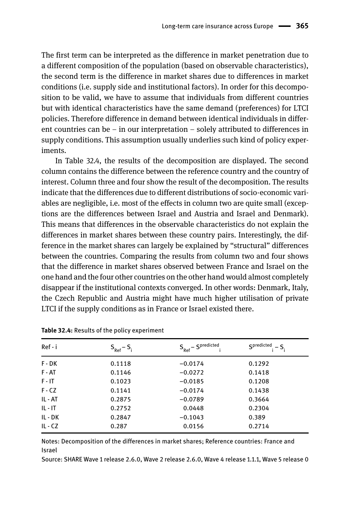The first term can be interpreted as the difference in market penetration due to a different composition of the population (based on observable characteristics), the second term is the difference in market shares due to differences in market conditions (i.e. supply side and institutional factors). In order for this decomposition to be valid, we have to assume that individuals from different countries but with identical characteristics have the same demand (preferences) for LTCI policies. Therefore difference in demand between identical individuals in different countries can be – in our interpretation – solely attributed to differences in supply conditions. This assumption usually underlies such kind of policy experiments.

In Table 32.4, the results of the decomposition are displayed. The second column contains the difference between the reference country and the country of interest. Column three and four show the result of the decomposition. The results indicate that the differences due to different distributions of socio-economic variables are negligible, i.e. most of the effects in column two are quite small (exceptions are the differences between Israel and Austria and Israel and Denmark). This means that differences in the observable characteristics do not explain the differences in market shares between these country pairs. Interestingly, the difference in the market shares can largely be explained by "structural" differences between the countries. Comparing the results from column two and four shows that the difference in market shares observed between France and Israel on the one hand and the four other countries on the other hand would almost completely disappear if the institutional contexts converged. In other words: Denmark, Italy, the Czech Republic and Austria might have much higher utilisation of private LTCI if the supply conditions as in France or Israel existed there.

| Ref - i   | $S_{\text{Ref}} - S_i$ | $S_{\text{Ref}} - S^{\text{predicted}}$ | $Spredicted - S$ . |  |
|-----------|------------------------|-----------------------------------------|--------------------|--|
| $F - DK$  | 0.1118                 | $-0.0174$                               | 0.1292             |  |
| $F - AT$  | 0.1146                 | $-0.0272$                               | 0.1418             |  |
| $F - IT$  | 0.1023                 | $-0.0185$                               | 0.1208             |  |
| $F - CZ$  | 0.1141                 | $-0.0174$                               | 0.1438             |  |
| $IL - AT$ | 0.2875                 | $-0.0789$                               | 0.3664             |  |
| $IL - IT$ | 0.2752                 | 0.0448                                  | 0.2304             |  |
| IL - DK   | 0.2847                 | $-0.1043$                               | 0.389              |  |
| IL - CZ   | 0.287                  | 0.0156                                  | 0.2714             |  |

| Table 32.4: Results of the policy experiment |  |  |  |  |
|----------------------------------------------|--|--|--|--|
|----------------------------------------------|--|--|--|--|

Notes: Decomposition of the differences in market shares; Reference countries: France and Israel

Source: SHARE Wave 1 release 2.6.0, Wave 2 release 2.6.0, Wave 4 release 1.1.1, Wave 5 release 0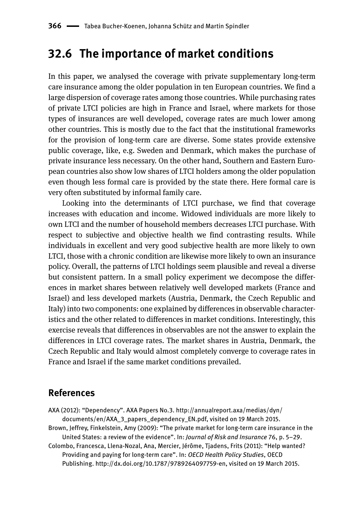### **32.6 The importance of market conditions**

In this paper, we analysed the coverage with private supplementary long-term care insurance among the older population in ten European countries. We find a large dispersion of coverage rates among those countries. While purchasing rates of private LTCI policies are high in France and Israel, where markets for those types of insurances are well developed, coverage rates are much lower among other countries. This is mostly due to the fact that the institutional frameworks for the provision of long-term care are diverse. Some states provide extensive public coverage, like, e.g. Sweden and Denmark, which makes the purchase of private insurance less necessary. On the other hand, Southern and Eastern European countries also show low shares of LTCI holders among the older population even though less formal care is provided by the state there. Here formal care is very often substituted by informal family care.

Looking into the determinants of LTCI purchase, we find that coverage increases with education and income. Widowed individuals are more likely to own LTCI and the number of household members decreases LTCI purchase. With respect to subjective and objective health we find contrasting results. While individuals in excellent and very good subjective health are more likely to own LTCI, those with a chronic condition are likewise more likely to own an insurance policy. Overall, the patterns of LTCI holdings seem plausible and reveal a diverse but consistent pattern. In a small policy experiment we decompose the differences in market shares between relatively well developed markets (France and Israel) and less developed markets (Austria, Denmark, the Czech Republic and Italy) into two components: one explained by differences in observable characteristics and the other related to differences in market conditions. Interestingly, this exercise reveals that differences in observables are not the answer to explain the differences in LTCI coverage rates. The market shares in Austria, Denmark, the Czech Republic and Italy would almost completely converge to coverage rates in France and Israel if the same market conditions prevailed.

#### **References**

- AXA (2012): "Dependency". AXA Papers No.3. http://annualreport.axa/medias/dyn/ documents/en/AXA\_3\_papers\_dependency\_EN.pdf, visited on 19 March 2015.
- Brown, Jeffrey, Finkelstein, Amy (2009): "The private market for long-term care insurance in the United States: a review of the evidence". In: *Journal of Risk and Insurance* 76, p. 5–29.
- Colombo, Francesca, Llena-Nozal, Ana, Mercier, Jérôme, Tjadens, Frits (2011): "Help wanted? Providing and paying for long-term care". In: *OECD Health Policy Studies*, OECD Publishing. http://dx.doi.org/10.1787/9789264097759-en, visited on 19 March 2015.